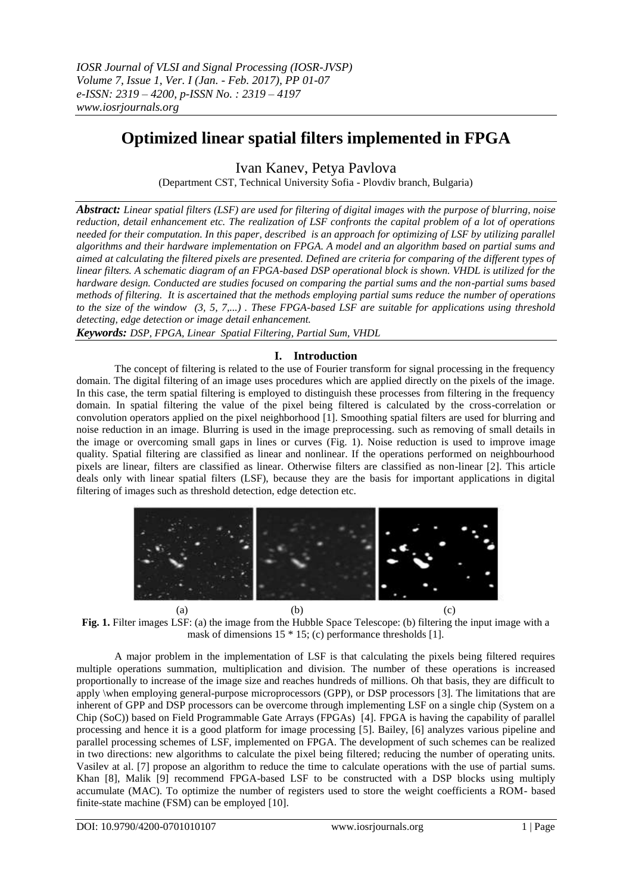# **Optimized linear spatial filters implemented in FPGA**

Ivan Kanev, Petya Pavlova

(Department CST, Technical University Sofia - Plovdiv branch, Bulgaria)

*Abstract: Linear spatial filters (LSF) are used for filtering of digital images with the purpose of blurring, noise reduction, detail enhancement etc. The realization of LSF confronts the capital problem of a lot of operations needed for their computation. In this paper, described is an approach for optimizing of LSF by utilizing parallel algorithms and their hardware implementation on FPGA. A model and an algorithm based on partial sums and aimed at calculating the filtered pixels are presented. Defined are criteria for comparing of the different types of linear filters. A schematic diagram of an FPGA-based DSP operational block is shown. VHDL is utilized for the hardware design. Conducted are studies focused on comparing the partial sums and the non-partial sums based methods of filtering. It is ascertained that the methods employing partial sums reduce the number of operations to the size of the window (3, 5, 7,...) . These FPGA-based LSF are suitable for applications using threshold detecting, edge detection or image detail enhancement.*

*Keywords: DSP, FPGA, Linear Spatial Filtering, Partial Sum, VHDL*

# **I. Introduction**

The concept of filtering is related to the use of Fourier transform for signal processing in the frequency domain. The digital filtering of an image uses procedures which are applied directly on the pixels of the image. In this case, the term spatial filtering is employed to distinguish these processes from filtering in the frequency domain. In spatial filtering the value of the pixel being filtered is calculated by the cross-correlation or convolution operators applied on the pixel neighborhood [1]. Smoothing spatial filters are used for blurring and noise reduction in an image. Blurring is used in the image preprocessing. such as removing of small details in the image or overcoming small gaps in lines or curves (Fig. 1). Noise reduction is used to improve image quality. Spatial filtering are classified as linear and nonlinear. If the operations performed on neighbourhood pixels are linear, filters are classified as linear. Otherwise filters are classified as non-linear [2]. This article deals only with linear spatial filters (LSF), because they are the basis for important applications in digital filtering of images such as threshold detection, edge detection etc.



**Fig. 1.** Filter images LSF: (a) the image from the Hubble Space Telescope: (b) filtering the input image with a mask of dimensions  $15 * 15$ ; (c) performance thresholds [1].

A major problem in the implementation of LSF is that calculating the pixels being filtered requires multiple operations summation, multiplication and division. The number of these operations is increased proportionally to increase of the image size and reaches hundreds of millions. Oh that basis, they are difficult to apply \when employing general-purpose microprocessors (GPP), or DSP processors [3]. The limitations that are inherent of GPP and DSP processors can be overcome through implementing LSF on a single chip (System on a Chip (SoC)) based on Field Programmable Gate Arrays (FPGAs) [4]. FPGA is having the capability of parallel processing and hence it is a good platform for image processing [5]. Bailey, [6] analyzes various pipeline and parallel processing schemes of LSF, implemented on FPGA. The development of such schemes can be realized in two directions: new algorithms to calculate the pixel being filtered; reducing the number of operating units. Vasilev at al. [7] propose an algorithm to reduce the time to calculate operations with the use of partial sums. Khan [8], Malik [9] recommend FPGA-based LSF to be constructed with a DSP blocks using multiply accumulate (MAC). To optimize the number of registers used to store the weight coefficients a ROM- based finite-state machine (FSM) can be employed [10].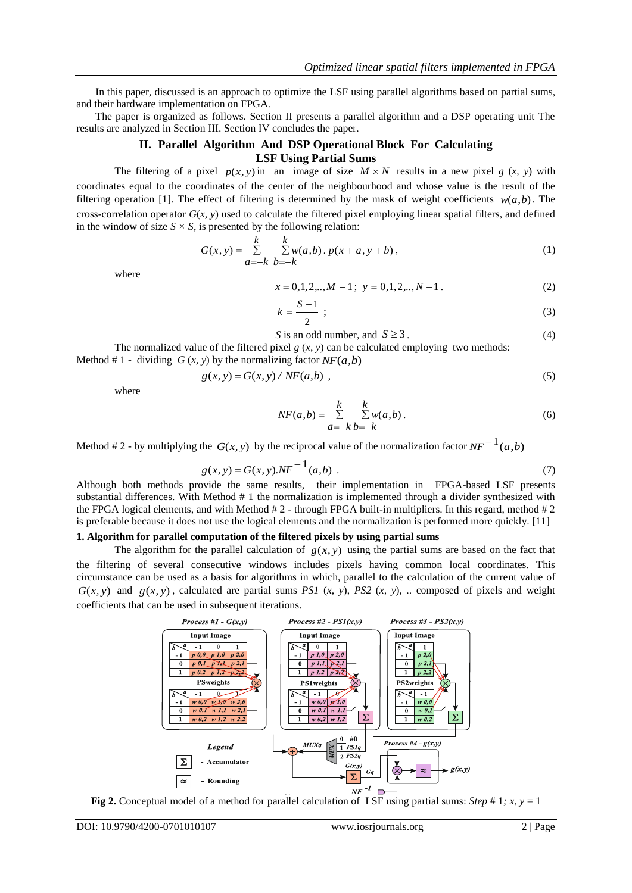In this paper, discussed is an approach to optimize the LSF using parallel algorithms based on partial sums, and their hardware implementation on FPGA.

The paper is organized as follows. Section II presents a parallel algorithm and a DSP operating unit The results are analyzed in Section III. Section IV concludes the paper.

## **II. Parallel Algorithm And DSP Operational Block For Calculating LSF Using Partial Sums**

The filtering of a pixel  $p(x, y)$  in an image of size  $M \times N$  results in a new pixel *g* (*x, y*) with coordinates equal to the coordinates of the center of the neighbourhood and whose value is the result of the filtering operation [1]. The effect of filtering is determined by the mask of weight coefficients  $w(a,b)$ . The cross-correlation operator  $G(x, y)$  used to calculate the filtered pixel employing linear spatial filters, and defined in the window of size  $S \times S$ , is presented by the following relation:

$$
G(x, y) = \sum_{a=-k}^{k} \sum_{b=-k}^{k} w(a, b) \cdot p(x + a, y + b),
$$
 (1)

where

$$
x = 0, 1, 2, \dots, M - 1 \; ; \; y = 0, 1, 2, \dots, N - 1 \; . \tag{2}
$$

$$
k = \frac{S-1}{2} \tag{3}
$$

*S* is an odd number, and  $S \ge 3$ . (4)

The normalized value of the filtered pixel  $g(x, y)$  can be calculated employing two methods: Method # 1 - dividing  $G(x, y)$  by the normalizing factor  $NF(a, b)$ 

$$
g(x, y) = G(x, y) / NF(a, b) , \qquad (5)
$$

where

$$
NF(a,b) = \sum_{a=-k}^{k} \sum_{b=-k}^{k} w(a,b).
$$
 (6)

Method # 2 - by multiplying the  $G(x, y)$  by the reciprocal value of the normalization factor  $NF^{-1}(a, b)$ 

$$
g(x, y) = G(x, y).NF^{-1}(a, b)
$$
 (7)

Although both methods provide the same results, their implementation in FPGA-based LSF presents substantial differences. With Method # 1 the normalization is implemented through a divider synthesized with the FPGA logical elements, and with Method # 2 - through FPGA built-in multipliers. In this regard, method # 2 is preferable because it does not use the logical elements and the normalization is performed more quickly. [11]

## **1. Algorithm for parallel computation of the filtered pixels by using partial sums**

The algorithm for the parallel calculation of  $g(x, y)$  using the partial sums are based on the fact that the filtering of several consecutive windows includes pixels having common local coordinates. This circumstance can be used as a basis for algorithms in which, parallel to the calculation of the current value of  $G(x, y)$  and  $g(x, y)$ , calculated are partial sums *PS1* (*x, y*), *PS2* (*x, y*), ... composed of pixels and weight coefficients that can be used in subsequent iterations.



**Fig 2.** Conceptual model of a method for parallel calculation of LSF using partial sums: *Step* # 1*; x, y* = 1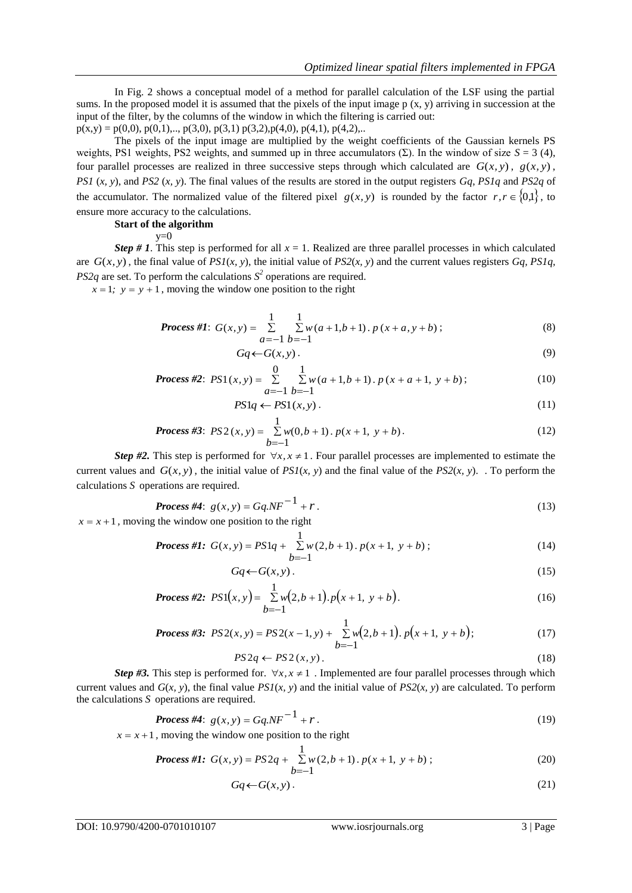In Fig. 2 shows a conceptual model of a method for parallel calculation of the LSF using the partial sums. In the proposed model it is assumed that the pixels of the input image p  $(x, y)$  arriving in succession at the input of the filter, by the columns of the window in which the filtering is carried out:  $p(x,y) = p(0,0), p(0,1), \ldots, p(3,0), p(3,1) p(3,2), p(4,0), p(4,1), p(4,2), \ldots$ 

The pixels of the input image are multiplied by the weight coefficients of the Gaussian kernels PS weights, PS1 weights, PS2 weights, and summed up in three accumulators  $(Σ)$ . In the window of size  $S = 3$  (4), four parallel processes are realized in three successive steps through which calculated are  $G(x, y)$ ,  $g(x, y)$ , *PS1* (*x, y*), and *PS2* (*x, y*). The final values of the results are stored in the output registers *Gq*, *PS1q* and *PS2q* of the accumulator. The normalized value of the filtered pixel  $g(x, y)$  is rounded by the factor  $r, r \in \{0,1\}$ , to ensure more accuracy to the calculations.

## **Start of the algorithm**

 $y=0$ 

*Step # 1*. This step is performed for all  $x = 1$ . Realized are three parallel processes in which calculated are  $G(x, y)$ , the final value of  $PSI(x, y)$ , the initial value of  $PS2(x, y)$  and the current values registers  $Gq$ ,  $PSIq$ , *PS2q* are set. To perform the calculations  $S^2$  operations are required.

 $x = 1$ ;  $y = y + 1$ , moving the window one position to the right

**Process #1:** 
$$
G(x, y) = \sum_{a=-1}^{1} \sum_{b=-1}^{1} w(a+1, b+1) \cdot p(x+a, y+b)
$$
; (8)

$$
Gq \leftarrow G(x, y). \tag{9}
$$

**Process #2:** 
$$
PS1(x, y) = \sum_{a=-1}^{0} \sum_{b=-1}^{1} w(a+1, b+1)
$$
.  $p(x+a+1, y+b)$ ; (10)

$$
PS1q \leftarrow PS1(x, y). \tag{11}
$$

**Process #3:** 
$$
PS2(x, y) = \sum_{b=-1}^{1} w(0, b+1) \cdot p(x+1, y+b)
$$
. (12)

*Step #2*. This step is performed for  $\forall x, x \neq 1$ . Four parallel processes are implemented to estimate the current values and  $G(x, y)$ , the initial value of  $PSI(x, y)$  and the final value of the  $PS2(x, y)$ . To perform the calculations *S* operations are required.

**Process #4:** 
$$
g(x, y) = Gq.NF^{-1} + r
$$
. (13)

 $x = x + 1$ , moving the window one position to the right

**Process #1:** 
$$
G(x, y) = PSIq + \sum_{b=-1}^{1} w(2, b+1)
$$
.  $p(x+1, y+b)$ ; (14)

$$
Gq \leftarrow G(x, y). \tag{15}
$$

**Process #2:** 
$$
PS1(x, y) = \sum_{b=-1}^{1} w(2, b+1) \cdot p(x+1, y+b)
$$
. (16)

**Process #3:** 
$$
PS2(x, y) = PS2(x - 1, y) + \sum_{b=-1}^{1} w(2, b + 1)
$$
.  $p(x + 1, y + b)$ ; (17)

$$
PS2q \leftarrow PS2(x, y). \tag{18}
$$

*Step #3.* This step is performed for.  $\forall x, x \neq 1$ . Implemented are four parallel processes through which current values and  $G(x, y)$ , the final value  $PSI(x, y)$  and the initial value of  $PS2(x, y)$  are calculated. To perform the calculations *S* operations are required.

**Process #4:** 
$$
g(x, y) = Gq.NF^{-1} + r
$$
. (19)

 $x = x + 1$ , moving the window one position to the right

**Process #1:** 
$$
G(x, y) = PS2q + \sum_{b=-1}^{1} w(2, b+1) \cdot p(x+1, y+b)
$$
; (20)

$$
Gq \leftarrow G(x, y). \tag{21}
$$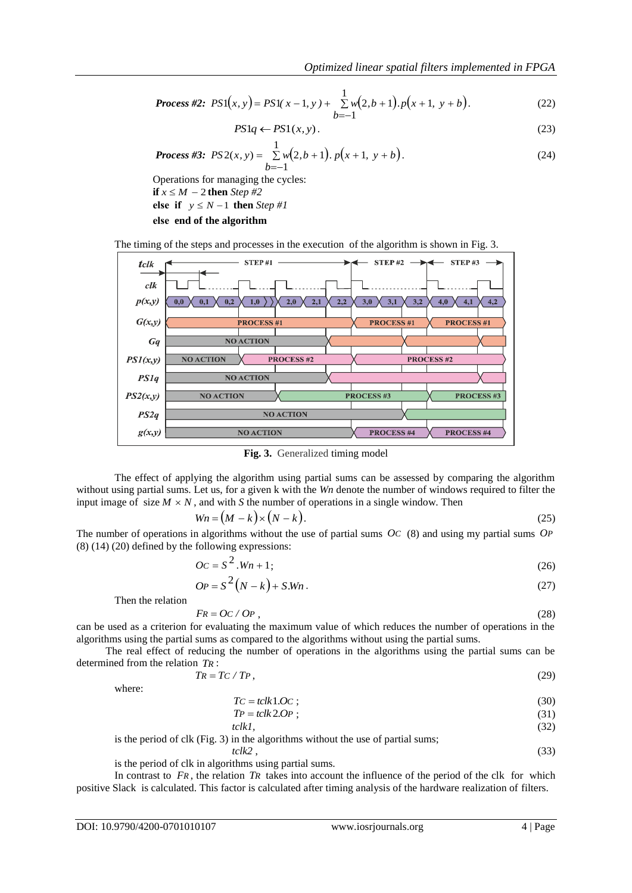**Process #2:** 
$$
PS1(x, y) = PS1(x - 1, y) + \sum_{b=-1}^{1} w(2, b + 1)
$$
.  $p(x + 1, y + b)$ . (22)

$$
PS1q \leftarrow PS1(x, y). \tag{23}
$$

**Process #3:** 
$$
PS2(x, y) = \sum_{b=-1}^{1} w(2, b+1)
$$
.  $p(x+1, y+b)$ . (24)

Operations for managing the cycles: **if**  $x \leq M - 2$  **then** *Step #2* **else if**  $y \leq N-1$  **then** *Step #1* **еlse end of the algorithm**

The timing of the steps and processes in the execution of the algorithm is shown in Fig. 3.



**Fig. 3.** Generalized timing model

The effect of applying the algorithm using partial sums can be assessed by comparing the algorithm without using partial sums. Let us, for a given k with the *Wn* denote the number of windows required to filter the input image of size  $M \times N$ , and with *S* the number of operations in a single window. Then

$$
Wn = (M - k) \times (N - k). \tag{25}
$$

The number of operations in algorithms without the use of partial sums  $OC(8)$  and using my partial sums  $OP$ (8) (14) (20) defined by the following expressions:

$$
OC = S2. Wn + 1;
$$
 (26)

$$
OP = S^2(N-k) + S.Wn. \tag{27}
$$

Then the relation

$$
FR = OC / OP
$$
, (28)

can be used as a criterion for evaluating the maximum value of which reduces the number of operations in the algorithms using the partial sums as compared to the algorithms without using the partial sums.

 The real effect of reducing the number of operations in the algorithms using the partial sums can be determined from the relation *TR* :

$$
TR = TC / TP,
$$
\n(29)

where:

$$
TC = tclk1.OC \tag{30}
$$

$$
TP = tclk 2.OP ; \t\t(31)
$$
  
 
$$
tclkl, \t\t(32)
$$

is the period of clk (Fig. 3) in the algorithms without the use of partial sums;

*tclk2* , (33)

is the period of clk in algorithms using partial sums.

In contrast to  $FR$ , the relation  $TR$  takes into account the influence of the period of the clk for which positive Slack is calculated. This factor is calculated after timing analysis of the hardware realization of filters.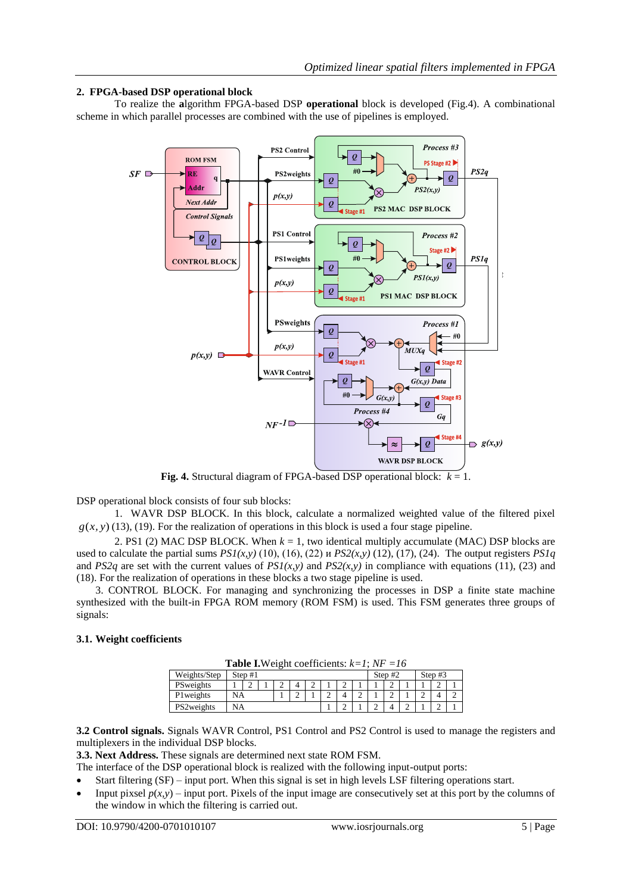## **2. FPGA-based DSP operational block**

To realize the **a**lgorithm FPGA-based DSP **operational** block is developed (Fig.4). A combinational scheme in which parallel processes are combined with the use of pipelines is employed.



**Fig. 4.** Structural diagram of FPGA-based DSP operational block:  $k = 1$ .

DSP operational block consists of four sub blocks:

1. WAVR DSP BLOCK. In this block, calculate a normalized weighted value of the filtered pixel  $g(x, y)$  (13), (19). For the realization of operations in this block is used a four stage pipeline.

2. PS1 (2) MAC DSP BLOCK. When  $k = 1$ , two identical multiply accumulate (MAC) DSP blocks are used to calculate the partial sums  $PS1(x, y)$  (10), (16), (22)  $\mu PS2(x, y)$  (12), (17), (24). The output registers  $PS1q$ and *PS2q* are set with the current values of  $PSI(x,y)$  and  $PS2(x,y)$  in compliance with equations (11), (23) and (18). For the realization of operations in these blocks a two stage pipeline is used.

3. CONTROL BLOCK. For managing and synchronizing the processes in DSP a finite state machine synthesized with the built-in FPGA ROM memory (ROM FSM) is used. This FSM generates three groups of signals:

## **3.1. Weight coefficients**

| <b>Table I.</b> Weight coefficients: $k=1$ ; $NF = 16$ |           |  |  |  |  |  |  |           |  |           |  |  |  |  |
|--------------------------------------------------------|-----------|--|--|--|--|--|--|-----------|--|-----------|--|--|--|--|
| Weights/Step                                           | Step $#1$ |  |  |  |  |  |  | Step $#2$ |  | Step $#3$ |  |  |  |  |
| PSweights                                              |           |  |  |  |  |  |  |           |  |           |  |  |  |  |
| P1 weights                                             | <b>NA</b> |  |  |  |  |  |  |           |  |           |  |  |  |  |
| PS2 weights                                            | <b>NA</b> |  |  |  |  |  |  |           |  |           |  |  |  |  |

**3.2 Control signals.** Signals WAVR Control, PS1 Control and PS2 Control is used to manage the registers and multiplexers in the individual DSP blocks.

**3.3. Next Address.** These signals are determined next state ROM FSM.

The interface of the DSP operational block is realized with the following input-output ports:

- Start filtering (SF) input port. When this signal is set in high levels LSF filtering operations start.
- Input pixsel  $p(x, y)$  input port. Pixels of the input image are consecutively set at this port by the columns of the window in which the filtering is carried out.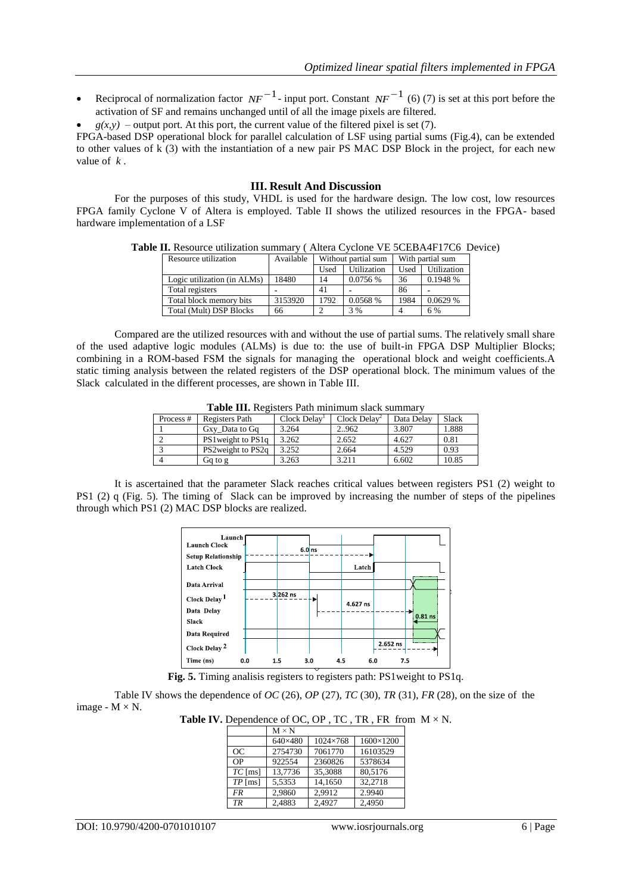Reciprocal of normalization factor  $NF^{-1}$  - input port. Constant  $NF^{-1}$  (6) (7) is set at this port before the activation of SF and remains unchanged until of all the image pixels are filtered.

 $g(x, y)$  – output port. At this port, the current value of the filtered pixel is set (7).

FPGA-based DSP operational block for parallel calculation of LSF using partial sums (Fig.4), can be extended to other values of k (3) with the instantiation of a new pair PS MAC DSP Block in the project, for each new value of *k* .

#### **III. Result And Discussion**

For the purposes of this study, VHDL is used for the hardware design. The low cost, low resources FPGA family Cyclone V of Altera is employed. Table II shows the utilized resources in the FPGA- based hardware implementation of a LSF

**Table II.** Resource utilization summary ( Altera Cyclone VE 5CEBA4F17C6 Device)

| Resource utilization        | Available |      | Without partial sum | With partial sum |             |  |
|-----------------------------|-----------|------|---------------------|------------------|-------------|--|
|                             |           | Used | Utilization         | Used             | Utilization |  |
| Logic utilization (in ALMs) | 18480     | 14   | 0.0756 %            | 36               | 0.1948 %    |  |
| Total registers             | -         | 41   |                     | 86               | -           |  |
| Total block memory bits     | 3153920   | 1792 | 0.0568 %            | 1984             | 0.0629%     |  |
| Total (Mult) DSP Blocks     | 66        |      | 3%                  | 4                | 6 %         |  |

Compared are the utilized resources with and without the use of partial sums. The relatively small share of the used adaptive logic modules (ALMs) is due to: the use of built-in FPGA DSP Multiplier Blocks; combining in a ROM-based FSM the signals for managing the operational block and weight coefficients.A static timing analysis between the related registers of the DSP operational block. The minimum values of the Slack calculated in the different processes, are shown in Table III.

| <b>I apie III.</b> Registels I aul Imminium siack summaly |                    |             |                            |            |       |  |
|-----------------------------------------------------------|--------------------|-------------|----------------------------|------------|-------|--|
| Process #                                                 | Registers Path     | Clock Delay | $Clock$ Delay <sup>2</sup> | Data Delay | Slack |  |
|                                                           | Gxy Data to Gq     | 3.264       | 2.962                      | 3.807      | 1.888 |  |
|                                                           | PS1 weight to PS1q | 3.262       | 2.652                      | 4.627      | 0.81  |  |
|                                                           | PS2 weight to PS2q | 3.252       | 2.664                      | 4.529      | 0.93  |  |
|                                                           | Ga to g            | 3.263       | 3.211                      | 6.602      | 10.85 |  |

**Table III.** Registers Path minimum slack summary

It is ascertained that the parameter Slack reaches critical values between registers PS1 (2) weight to PS1 (2) q (Fig. 5). The timing of Slack can be improved by increasing the number of steps of the pipelines through which PS1 (2) MAC DSP blocks are realized.



**Fig. 5.** Timing analisis registers to registers path: PS1weight to PS1q.

Table IV shows the dependence of *OC* (26), *OP* (27), *TC* (30), *TR* (31), *FR* (28), on the size of the image -  $M \times N$ .

**Table IV.** Dependence of OC, OP, TC, TR, FR from  $M \times N$ .

|           | $M \times N$ |          |           |
|-----------|--------------|----------|-----------|
|           | 640×480      | 1024×768 | 1600×1200 |
| <b>OC</b> | 2754730      | 7061770  | 16103529  |
| OP        | 922554       | 2360826  | 5378634   |
| $TC$ [ms] | 13,7736      | 35.3088  | 80,5176   |
| $TP$ [ms] | 5,5353       | 14,1650  | 32,2718   |
| FR        | 2.9860       | 2.9912   | 2.9940    |
| TR        | 2,4883       | 2.4927   | 2.4950    |